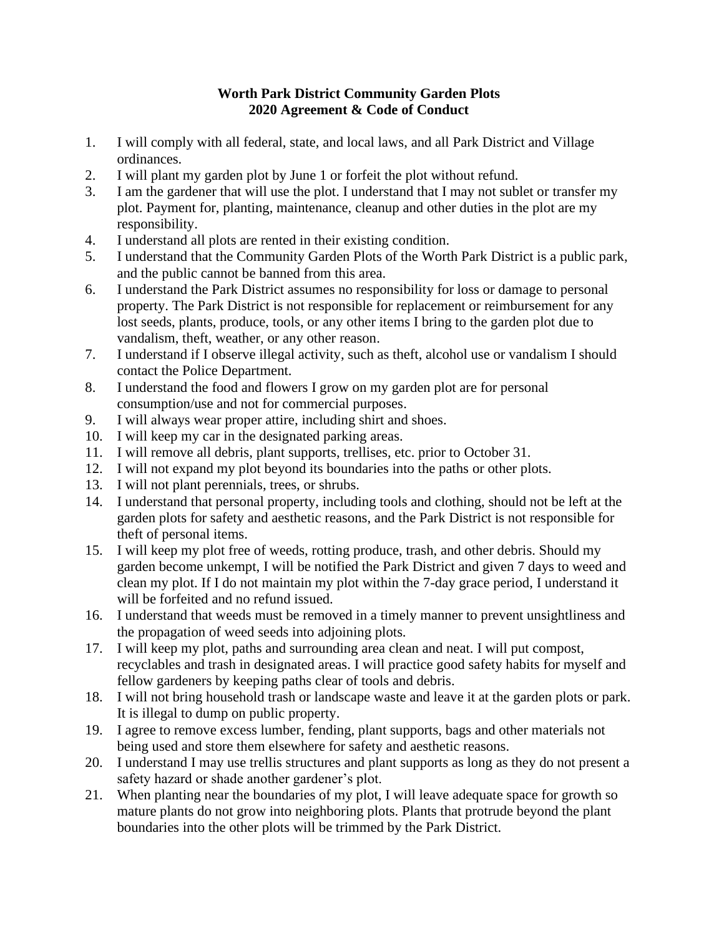## **Worth Park District Community Garden Plots 2020 Agreement & Code of Conduct**

- 1. I will comply with all federal, state, and local laws, and all Park District and Village ordinances.
- 2. I will plant my garden plot by June 1 or forfeit the plot without refund.
- 3. I am the gardener that will use the plot. I understand that I may not sublet or transfer my plot. Payment for, planting, maintenance, cleanup and other duties in the plot are my responsibility.
- 4. I understand all plots are rented in their existing condition.
- 5. I understand that the Community Garden Plots of the Worth Park District is a public park, and the public cannot be banned from this area.
- 6. I understand the Park District assumes no responsibility for loss or damage to personal property. The Park District is not responsible for replacement or reimbursement for any lost seeds, plants, produce, tools, or any other items I bring to the garden plot due to vandalism, theft, weather, or any other reason.
- 7. I understand if I observe illegal activity, such as theft, alcohol use or vandalism I should contact the Police Department.
- 8. I understand the food and flowers I grow on my garden plot are for personal consumption/use and not for commercial purposes.
- 9. I will always wear proper attire, including shirt and shoes.
- 10. I will keep my car in the designated parking areas.
- 11. I will remove all debris, plant supports, trellises, etc. prior to October 31.
- 12. I will not expand my plot beyond its boundaries into the paths or other plots.
- 13. I will not plant perennials, trees, or shrubs.
- 14. I understand that personal property, including tools and clothing, should not be left at the garden plots for safety and aesthetic reasons, and the Park District is not responsible for theft of personal items.
- 15. I will keep my plot free of weeds, rotting produce, trash, and other debris. Should my garden become unkempt, I will be notified the Park District and given 7 days to weed and clean my plot. If I do not maintain my plot within the 7-day grace period, I understand it will be forfeited and no refund issued.
- 16. I understand that weeds must be removed in a timely manner to prevent unsightliness and the propagation of weed seeds into adjoining plots.
- 17. I will keep my plot, paths and surrounding area clean and neat. I will put compost, recyclables and trash in designated areas. I will practice good safety habits for myself and fellow gardeners by keeping paths clear of tools and debris.
- 18. I will not bring household trash or landscape waste and leave it at the garden plots or park. It is illegal to dump on public property.
- 19. I agree to remove excess lumber, fending, plant supports, bags and other materials not being used and store them elsewhere for safety and aesthetic reasons.
- 20. I understand I may use trellis structures and plant supports as long as they do not present a safety hazard or shade another gardener's plot.
- 21. When planting near the boundaries of my plot, I will leave adequate space for growth so mature plants do not grow into neighboring plots. Plants that protrude beyond the plant boundaries into the other plots will be trimmed by the Park District.